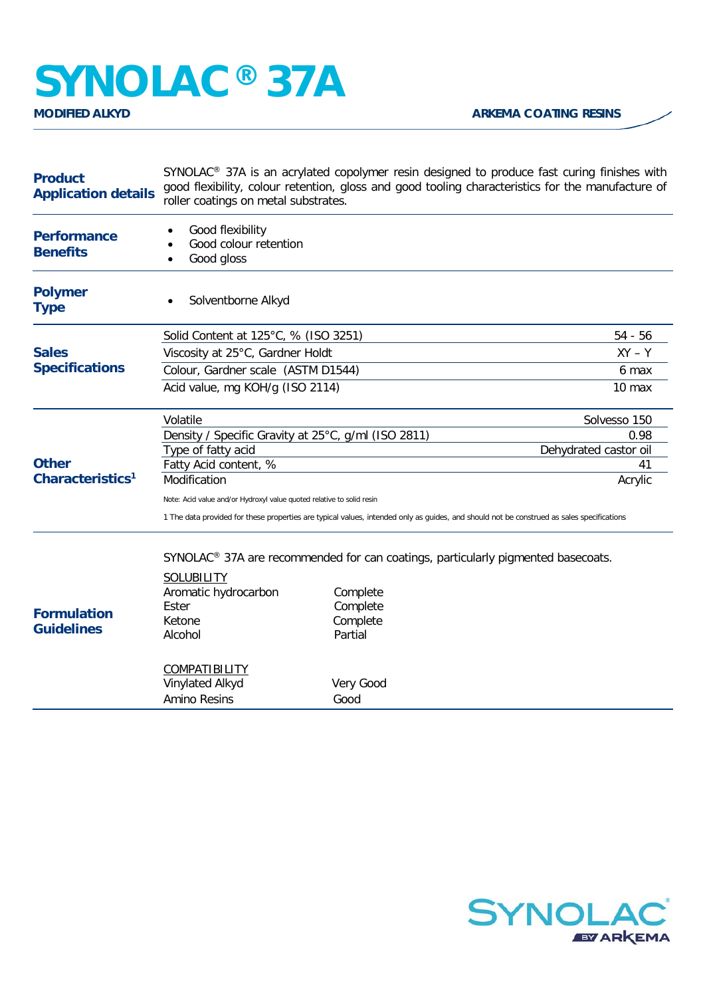## **SYNOLAC<sup>®</sup> 37A**

| <b>Product</b><br><b>Application details</b>                                                                                     | SYNOLAC <sup>®</sup> 37A is an acrylated copolymer resin designed to produce fast curing finishes with<br>good flexibility, colour retention, gloss and good tooling characteristics for the manufacture of<br>roller coatings on metal substrates. |           |                       |  |
|----------------------------------------------------------------------------------------------------------------------------------|-----------------------------------------------------------------------------------------------------------------------------------------------------------------------------------------------------------------------------------------------------|-----------|-----------------------|--|
| <b>Performance</b><br><b>Benefits</b>                                                                                            | Good flexibility<br>Good colour retention<br>Good gloss                                                                                                                                                                                             |           |                       |  |
| <b>Polymer</b><br><b>Type</b>                                                                                                    | Solventborne Alkyd                                                                                                                                                                                                                                  |           |                       |  |
| <b>Sales</b><br><b>Specifications</b><br><b>Other</b><br>Characteristics <sup>1</sup><br><b>Formulation</b><br><b>Guidelines</b> | Solid Content at 125°C, % (ISO 3251)                                                                                                                                                                                                                |           | 54 - 56               |  |
|                                                                                                                                  | Viscosity at 25°C, Gardner Holdt                                                                                                                                                                                                                    |           | $XY - Y$              |  |
|                                                                                                                                  | Colour, Gardner scale (ASTM D1544)                                                                                                                                                                                                                  |           | 6 max                 |  |
|                                                                                                                                  | Acid value, mg KOH/g (ISO 2114)                                                                                                                                                                                                                     |           | 10 max                |  |
|                                                                                                                                  | Volatile                                                                                                                                                                                                                                            |           | Solvesso 150          |  |
|                                                                                                                                  | Density / Specific Gravity at 25°C, g/ml (ISO 2811)                                                                                                                                                                                                 |           | 0.98                  |  |
|                                                                                                                                  | Type of fatty acid                                                                                                                                                                                                                                  |           | Dehydrated castor oil |  |
|                                                                                                                                  | Fatty Acid content, %                                                                                                                                                                                                                               |           | 41                    |  |
|                                                                                                                                  | Modification                                                                                                                                                                                                                                        |           | Acrylic               |  |
|                                                                                                                                  | Note: Acid value and/or Hydroxyl value quoted relative to solid resin                                                                                                                                                                               |           |                       |  |
|                                                                                                                                  | 1 The data provided for these properties are typical values, intended only as guides, and should not be construed as sales specifications                                                                                                           |           |                       |  |
|                                                                                                                                  | SYNOLAC <sup>®</sup> 37A are recommended for can coatings, particularly pigmented basecoats.                                                                                                                                                        |           |                       |  |
|                                                                                                                                  | SOLUBILITY                                                                                                                                                                                                                                          |           |                       |  |
|                                                                                                                                  | Aromatic hydrocarbon                                                                                                                                                                                                                                | Complete  |                       |  |
|                                                                                                                                  | Ester                                                                                                                                                                                                                                               | Complete  |                       |  |
|                                                                                                                                  | Ketone                                                                                                                                                                                                                                              | Complete  |                       |  |
|                                                                                                                                  | Alcohol                                                                                                                                                                                                                                             | Partial   |                       |  |
|                                                                                                                                  | <b>COMPATIBILITY</b>                                                                                                                                                                                                                                |           |                       |  |
|                                                                                                                                  | Vinylated Alkyd                                                                                                                                                                                                                                     | Very Good |                       |  |
|                                                                                                                                  | Amino Resins                                                                                                                                                                                                                                        | Good      |                       |  |